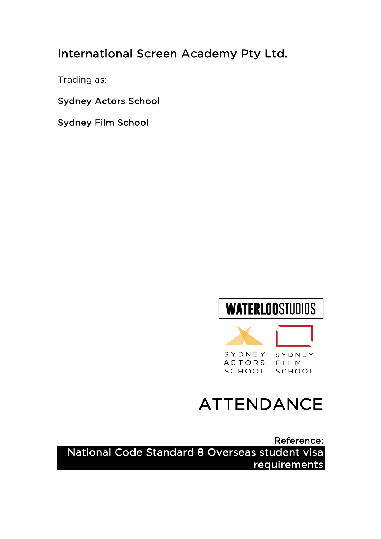## International Screen Academy Pty Ltd.

Trading as:

Sydney Actors School

Sydney Film School





# ATTENDANCE

Reference: National Code Standard 8 Overseas student visa requirements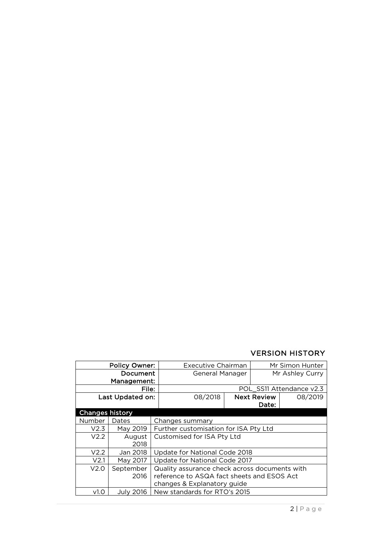#### VERSION HISTORY

| <b>Policy Owner:</b>   |                  |                                               | <b>Executive Chairman</b>                  |  | Mr Simon Hunter    |                          |
|------------------------|------------------|-----------------------------------------------|--------------------------------------------|--|--------------------|--------------------------|
| Document               |                  |                                               | General Manager                            |  | Mr Ashley Curry    |                          |
| Management:            |                  |                                               |                                            |  |                    |                          |
| File:                  |                  |                                               |                                            |  |                    | POL SS11 Attendance v2.3 |
| Last Updated on:       |                  |                                               | 08/2018                                    |  | <b>Next Review</b> | 08/2019                  |
|                        |                  |                                               |                                            |  | Date:              |                          |
| <b>Changes history</b> |                  |                                               |                                            |  |                    |                          |
| Number                 | Dates            |                                               | Changes summary                            |  |                    |                          |
| V2.3                   | May 2019         | Further customisation for ISA Pty Ltd         |                                            |  |                    |                          |
| V2.2                   | August           | Customised for ISA Pty Ltd                    |                                            |  |                    |                          |
|                        | 2018             |                                               |                                            |  |                    |                          |
| V2.2                   | Jan 2018         | Update for National Code 2018                 |                                            |  |                    |                          |
| V <sub>2.1</sub>       | May 2017         | Update for National Code 2017                 |                                            |  |                    |                          |
| V2.0                   | September        | Quality assurance check across documents with |                                            |  |                    |                          |
|                        | 2016             |                                               | reference to ASQA fact sheets and ESOS Act |  |                    |                          |
|                        |                  |                                               | changes & Explanatory guide                |  |                    |                          |
| v1.0                   | <b>July 2016</b> |                                               | New standards for RTO's 2015               |  |                    |                          |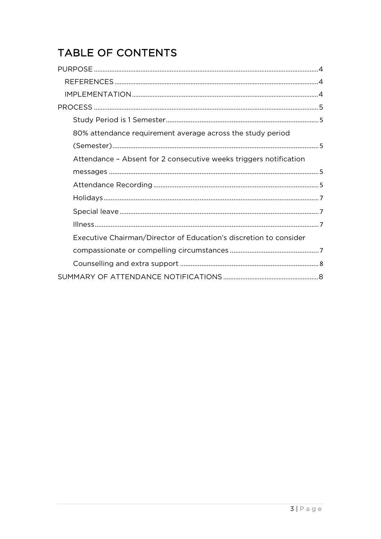## **TABLE OF CONTENTS**

| 80% attendance requirement average across the study period        |  |
|-------------------------------------------------------------------|--|
|                                                                   |  |
| Attendance - Absent for 2 consecutive weeks triggers notification |  |
|                                                                   |  |
|                                                                   |  |
|                                                                   |  |
|                                                                   |  |
|                                                                   |  |
| Executive Chairman/Director of Education's discretion to consider |  |
|                                                                   |  |
|                                                                   |  |
|                                                                   |  |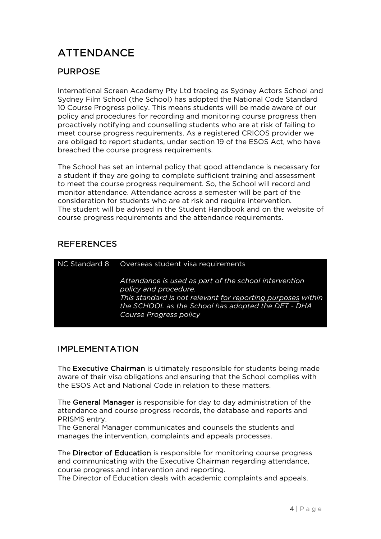## ATTENDANCE

### PURPOSE

International Screen Academy Pty Ltd trading as Sydney Actors School and Sydney Film School (the School) has adopted the National Code Standard 10 Course Progress policy. This means students will be made aware of our policy and procedures for recording and monitoring course progress then proactively notifying and counselling students who are at risk of failing to meet course progress requirements. As a registered CRICOS provider we are obliged to report students, under section 19 of the ESOS Act, who have breached the course progress requirements.

The School has set an internal policy that good attendance is necessary for a student if they are going to complete sufficient training and assessment to meet the course progress requirement. So, the School will record and monitor attendance. Attendance across a semester will be part of the consideration for students who are at risk and require intervention. The student will be advised in the Student Handbook and on the website of course progress requirements and the attendance requirements.

### REFERENCES

| NC Standard 8 | Overseas student visa requirements                                                                                                                                                                                            |  |  |  |
|---------------|-------------------------------------------------------------------------------------------------------------------------------------------------------------------------------------------------------------------------------|--|--|--|
|               | Attendance is used as part of the school intervention<br>policy and procedure.<br>This standard is not relevant for reporting purposes within<br>the SCHOOL as the School has adopted the DET - DHA<br>Course Progress policy |  |  |  |

### IMPLEMENTATION

The Executive Chairman is ultimately responsible for students being made aware of their visa obligations and ensuring that the School complies with the ESOS Act and National Code in relation to these matters.

The General Manager is responsible for day to day administration of the attendance and course progress records, the database and reports and PRISMS entry.

The General Manager communicates and counsels the students and manages the intervention, complaints and appeals processes.

The Director of Education is responsible for monitoring course progress and communicating with the Executive Chairman regarding attendance, course progress and intervention and reporting.

The Director of Education deals with academic complaints and appeals.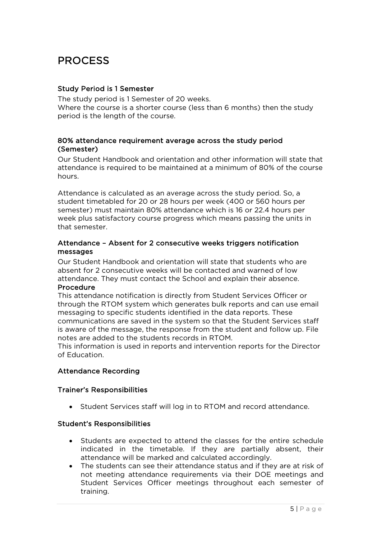## PROCESS

#### Study Period is 1 Semester

The study period is 1 Semester of 20 weeks. Where the course is a shorter course (less than 6 months) then the study period is the length of the course.

#### 80% attendance requirement average across the study period (Semester)

Our Student Handbook and orientation and other information will state that attendance is required to be maintained at a minimum of 80% of the course hours.

Attendance is calculated as an average across the study period. So, a student timetabled for 20 or 28 hours per week (400 or 560 hours per semester) must maintain 80% attendance which is 16 or 22.4 hours per week plus satisfactory course progress which means passing the units in that semester.

#### Attendance – Absent for 2 consecutive weeks triggers notification messages

Our Student Handbook and orientation will state that students who are absent for 2 consecutive weeks will be contacted and warned of low attendance. They must contact the School and explain their absence. Procedure

This attendance notification is directly from Student Services Officer or through the RTOM system which generates bulk reports and can use email messaging to specific students identified in the data reports. These communications are saved in the system so that the Student Services staff is aware of the message, the response from the student and follow up. File notes are added to the students records in RTOM.

This information is used in reports and intervention reports for the Director of Education.

#### Attendance Recording

#### Trainer's Responsibilities

• Student Services staff will log in to RTOM and record attendance.

#### Student's Responsibilities

- Students are expected to attend the classes for the entire schedule indicated in the timetable. If they are partially absent, their attendance will be marked and calculated accordingly.
- The students can see their attendance status and if they are at risk of not meeting attendance requirements via their DOE meetings and Student Services Officer meetings throughout each semester of training.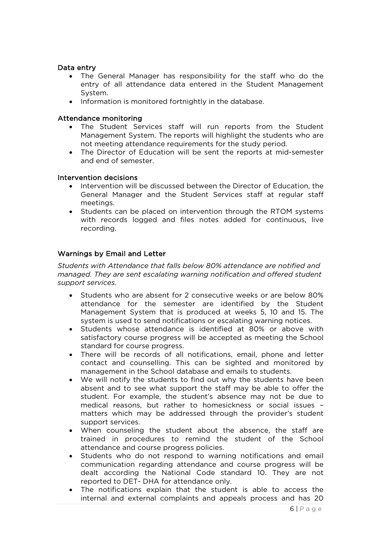#### Data entry

- The General Manager has responsibility for the staff who do the entry of all attendance data entered in the Student Management System.
- Information is monitored fortnightly in the database.

#### Attendance monitoring

- The Student Services staff will run reports from the Student Management System. The reports will highlight the students who are not meeting attendance requirements for the study period.
- The Director of Education will be sent the reports at mid-semester and end of semester.

#### Intervention decisions

- Intervention will be discussed between the Director of Education, the General Manager and the Student Services staff at regular staff meetings.
- Students can be placed on intervention through the RTOM systems with records logged and files notes added for continuous, live recording.

#### Warnings by Email and Letter

*Students with Attendance that falls below 80% attendance are notified and managed. They are sent escalating warning notification and offered student support services.* 

- Students who are absent for 2 consecutive weeks or are below 80% attendance for the semester are identified by the Student Management System that is produced at weeks 5, 10 and 15. The system is used to send notifications or escalating warning notices.
- Students whose attendance is identified at 80% or above with satisfactory course progress will be accepted as meeting the School standard for course progress.
- There will be records of all notifications, email, phone and letter contact and counselling. This can be sighted and monitored by management in the School database and emails to students.
- We will notify the students to find out why the students have been absent and to see what support the staff may be able to offer the student. For example, the student's absence may not be due to medical reasons, but rather to homesickness or social issues – matters which may be addressed through the provider's student support services.
- When counseling the student about the absence, the staff are trained in procedures to remind the student of the School attendance and course progress policies.
- Students who do not respond to warning notifications and email communication regarding attendance and course progress will be dealt according the National Code standard 10. They are not reported to DET- DHA for attendance only.
- The notifications explain that the student is able to access the internal and external complaints and appeals process and has 20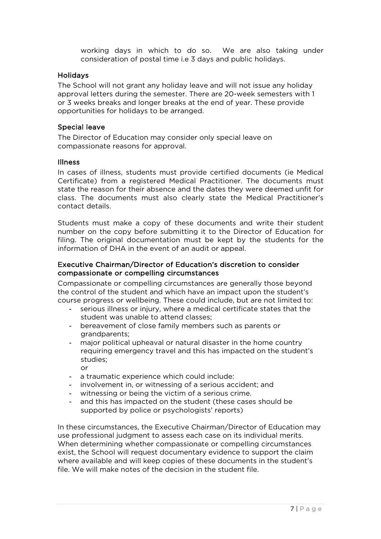working days in which to do so. We are also taking under consideration of postal time i.e 3 days and public holidays.

#### Holidays

The School will not grant any holiday leave and will not issue any holiday approval letters during the semester. There are 20-week semesters with 1 or 3 weeks breaks and longer breaks at the end of year. These provide opportunities for holidays to be arranged.

#### Special leave

The Director of Education may consider only special leave on compassionate reasons for approval.

#### Illness

In cases of illness, students must provide certified documents (ie Medical Certificate) from a registered Medical Practitioner. The documents must state the reason for their absence and the dates they were deemed unfit for class. The documents must also clearly state the Medical Practitioner's contact details.

Students must make a copy of these documents and write their student number on the copy before submitting it to the Director of Education for filing. The original documentation must be kept by the students for the information of DHA in the event of an audit or appeal.

#### Executive Chairman/Director of Education's discretion to consider compassionate or compelling circumstances

Compassionate or compelling circumstances are generally those beyond the control of the student and which have an impact upon the student's course progress or wellbeing. These could include, but are not limited to:

- serious illness or injury, where a medical certificate states that the student was unable to attend classes;
- bereavement of close family members such as parents or grandparents;
- major political upheaval or natural disaster in the home country requiring emergency travel and this has impacted on the student's studies; or
- a traumatic experience which could include:
- involvement in, or witnessing of a serious accident; and
- witnessing or being the victim of a serious crime.
- and this has impacted on the student (these cases should be supported by police or psychologists' reports)

In these circumstances, the Executive Chairman/Director of Education may use professional judgment to assess each case on its individual merits. When determining whether compassionate or compelling circumstances exist, the School will request documentary evidence to support the claim where available and will keep copies of these documents in the student's file. We will make notes of the decision in the student file.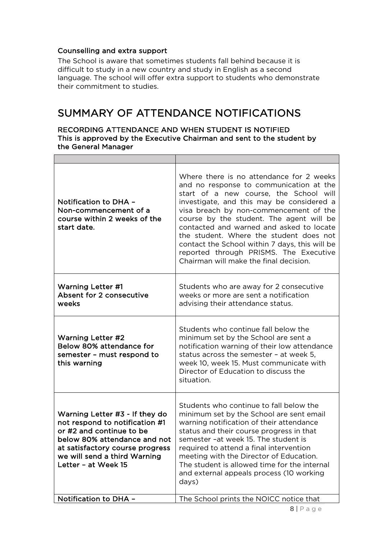#### Counselling and extra support

The School is aware that sometimes students fall behind because it is difficult to study in a new country and study in English as a second language. The school will offer extra support to students who demonstrate their commitment to studies.

### SUMMARY OF ATTENDANCE NOTIFICATIONS

#### RECORDING ATTENDANCE AND WHEN STUDENT IS NOTIFIED This is approved by the Executive Chairman and sent to the student by the General Manager

| Notification to DHA -<br>Non-commencement of a<br>course within 2 weeks of the<br>start date.                                                                                                                          | Where there is no attendance for 2 weeks<br>and no response to communication at the<br>start of a new course, the School will<br>investigate, and this may be considered a<br>visa breach by non-commencement of the<br>course by the student. The agent will be<br>contacted and warned and asked to locate<br>the student. Where the student does not<br>contact the School within 7 days, this will be<br>reported through PRISMS. The Executive<br>Chairman will make the final decision. |  |
|------------------------------------------------------------------------------------------------------------------------------------------------------------------------------------------------------------------------|-----------------------------------------------------------------------------------------------------------------------------------------------------------------------------------------------------------------------------------------------------------------------------------------------------------------------------------------------------------------------------------------------------------------------------------------------------------------------------------------------|--|
| <b>Warning Letter #1</b><br>Absent for 2 consecutive<br>weeks                                                                                                                                                          | Students who are away for 2 consecutive<br>weeks or more are sent a notification<br>advising their attendance status.                                                                                                                                                                                                                                                                                                                                                                         |  |
| <b>Warning Letter #2</b><br>Below 80% attendance for<br>semester - must respond to<br>this warning                                                                                                                     | Students who continue fall below the<br>minimum set by the School are sent a<br>notification warning of their low attendance<br>status across the semester - at week 5,<br>week 10, week 15. Must communicate with<br>Director of Education to discuss the<br>situation.                                                                                                                                                                                                                      |  |
| Warning Letter #3 - If they do<br>not respond to notification #1<br>or #2 and continue to be<br>below 80% attendance and not<br>at satisfactory course progress<br>we will send a third Warning<br>Letter - at Week 15 | Students who continue to fall below the<br>minimum set by the School are sent email<br>warning notification of their attendance<br>status and their course progress in that<br>semester -at week 15. The student is<br>required to attend a final intervention<br>meeting with the Director of Education.<br>The student is allowed time for the internal<br>and external appeals process (10 working<br>days)                                                                                |  |
| Notification to DHA -                                                                                                                                                                                                  | The School prints the NOICC notice that                                                                                                                                                                                                                                                                                                                                                                                                                                                       |  |